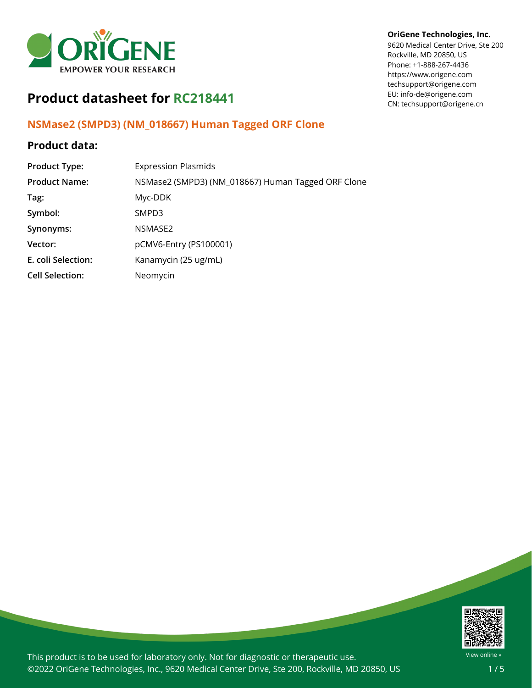

#### **OriGene Technologies, Inc.**

9620 Medical Center Drive, Ste 200 Rockville, MD 20850, US Phone: +1-888-267-4436 https://www.origene.com techsupport@origene.com EU: info-de@origene.com CN: techsupport@origene.cn

# **Product datasheet for RC218441**

## **NSMase2 (SMPD3) (NM\_018667) Human Tagged ORF Clone**

## **Product data:**

| <b>Product Type:</b>   | <b>Expression Plasmids</b>                         |
|------------------------|----------------------------------------------------|
| <b>Product Name:</b>   | NSMase2 (SMPD3) (NM_018667) Human Tagged ORF Clone |
| Tag:                   | Myc-DDK                                            |
| Symbol:                | SMPD3                                              |
| Synonyms:              | NSMASE2                                            |
| Vector:                | pCMV6-Entry (PS100001)                             |
| E. coli Selection:     | Kanamycin (25 ug/mL)                               |
| <b>Cell Selection:</b> | Neomycin                                           |



This product is to be used for laboratory only. Not for diagnostic or therapeutic use. ©2022 OriGene Technologies, Inc., 9620 Medical Center Drive, Ste 200, Rockville, MD 20850, US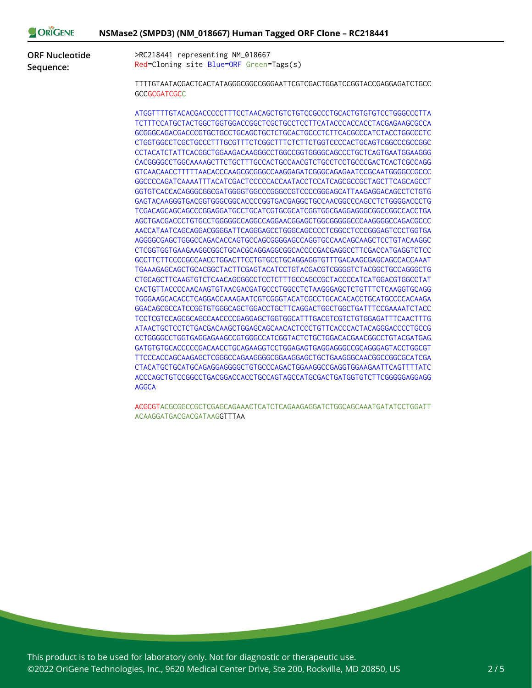| ORIGENE               | NSMase2 (SMPD3) (NM_018667) Human Tagged ORF Clone - RC218441                                 |
|-----------------------|-----------------------------------------------------------------------------------------------|
| <b>ORF Nucleotide</b> | >RC218441 representing NM_018667                                                              |
| Sequence:             | Red=Cloning site Blue=ORF Green=Tags(s)                                                       |
|                       | TTTTGTAATACGACTCACTATAGGGCGGCCGGGAATTCGTCGACTGGATCCGGTACCGAGGAGATCTGCC<br><b>GCCGCGATCGCC</b> |
|                       |                                                                                               |
|                       | TCTTTCCATGCTACTGGCTGGTGGACCGGCTCGCTGCCTCCTTCATACCCACCACCTACGAGAAGCGCCA                        |
|                       | GCGGGCAGACGACCCGTGCTGCCTGCAGCTGCTCTGCACTGCCCTCTTCACGCCCATCTACCTGGCCCTC                        |
|                       |                                                                                               |
|                       | CCTACATCTATTCACGGCTGGAAGACAAGGGCCTGGCCGGTGGGGCAGCCCTGCTCAGTGAATGGAAGGG                        |
|                       |                                                                                               |
|                       | GTCAACAACCTTTTTAACACCCAAGCGCGGGCCAAGGAGATCGGGCAGAGAATCCGCAATGGGGCCGCCC                        |
|                       | GGCCCCAGATCAAAATTTACATCGACTCCCCCACCAATACCTCCATCAGCGCCGCTAGCTTCAGCAGCCT                        |
|                       | GGTGTCACCACAGGGCGGCGATGGGGTGGCCCGGGCCGTCCCCGGGAGCATTAAGAGGACAGCCTCTGTG                        |
|                       | GAGTACAAGGGTGACGGTGGGCGGCACCCCGGTGACGAGGCTGCCAACGGCCCAGCCTCTGGGGACCCTG                        |
|                       |                                                                                               |
|                       | AGCTGACGACCCTGTGCCTGGGGGCCAGGCCAGGAACGGAGCTGGCGGGGCCCAAGGGGCCAGACGCCC                         |
|                       | AACCATAATCAGCAGGACGGGGATTCAGGGAGCCTGGGCAGCCCCTCGGCCTCCCGGGAGTCCCTGGTGA                        |
|                       | AGGGGCGAGCTGGGCCAGACACCAGTGCCAGCGGGGAGCCAGGTGCCAACAGCAAGCTCCTGTACAAGGC                        |
|                       | CTCGGTGGTGAAGAAGGCGGCTGCACGCAGGAGGCGGCACCCCGACGAGGCCTTCGACCATGAGGTCTCC                        |
|                       | GCCTTCTTCCCCGCCAACCTGGACTTCCTGTGCCTGCAGGAGGTGTTTGACAAGCGAGCAGCCACCAAAT                        |
|                       | TGAAAGAGCAGCTGCACGGCTACTTCGAGTACATCCTGTACGACGTCGGGGTCTACGGCTGCCAGGGCTG                        |
|                       | CTGCAGCTTCAAGTGTCTCAACAGCGGCCTCCTCTTTGCCAGCCGCTACCCCATCATGGACGTGGCCTAT                        |
|                       | CACTGTTACCCCAACAAGTGTAACGACGATGCCCTGGCCTCTAAGGGAGCTCTGTTTCTCAAGGTGCAGG                        |
|                       | TGGGAAGCACACCTCAGGACCAAAGAATCGTCGGGTACATCGCCTGCACACACCTGCATGCCCCACAAGA                        |
|                       |                                                                                               |
|                       | TCCTCGTCCAGCGCAGCCAACCCCGAGGAGCTGGTGGCATTTGACGTCGTCTGTGGAGATTTCAACTTTG                        |
|                       | ATAACTGCTCCTCTGACGACAAGCTGGAGCAGCAACACTCCCTGTTCACCCACTACAGGGACCCCTGCCG                        |
|                       | CCTGGGGCCTGGTGAGGAGAAGCCGTGGGCCATCGGTACTCTGCTGGACACGAACGGCCTGTACGATGAG                        |
|                       | GATGTGTGCACCCCCGACAACCTGCAGAAGGTCCTGGAGAGTGAGGAGGGCCGCAGGGAGTACCTGGCGT                        |
|                       |                                                                                               |
|                       | CTACATGCTGCATGCAGAGGGGGGGCTGTGCCCAGACTGGAAGGCCGAGGTGGAAGAATTCAGTTTTATC                        |
|                       | ACCCAGCTGTCCGGCCTGACGGACCACCTGCCAGTAGCCATGCGACTGATGGTGTCTTCGGGGGAGGAGG                        |
|                       | <b>AGGCA</b>                                                                                  |

ACGCGTACGCGGCCGCTCGAGCAGAAACTCATCTCAGAAGAGGATCTGGCAGCAAATGATATCCTGGATT ACAAGGATGACGACGATAAGGTTTAA

This product is to be used for laboratory only. Not for diagnostic or therapeutic use. ©2022 OriGene Technologies, Inc., 9620 Medical Center Drive, Ste 200, Rockville, MD 20850, US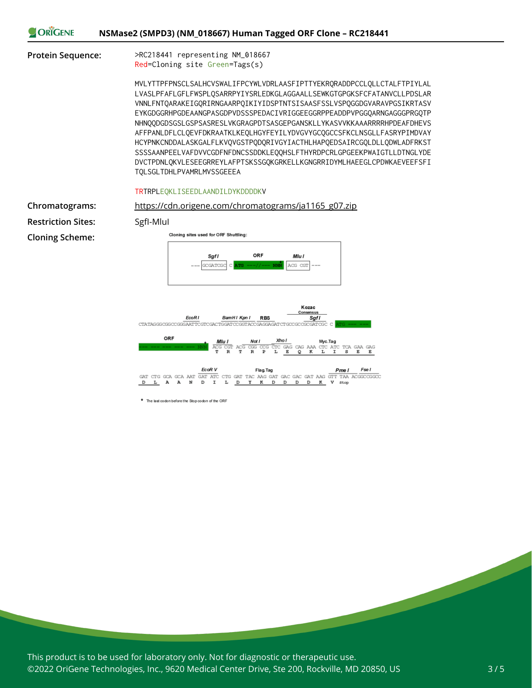| ORIGENE | NSMase2 (SMPD3) (NM_018667) Human Tagged ORF Clone - RC218441 |  |
|---------|---------------------------------------------------------------|--|
|         |                                                               |  |

**Protein Sequence:** >RC218441 representing NM\_018667

Red=Cloning site Green=Tags(s)

MVLYTTPFPNSCLSALHCVSWALIFPCYWLVDRLAASFIPTTYEKRQRADDPCCLQLLCTALFTPIYLAL LVASLPFAFLGFLFWSPLQSARRPYIYSRLEDKGLAGGAALLSEWKGTGPGKSFCFATANVCLLPDSLAR VNNLFNTQARAKEIGQRIRNGAARPQIKIYIDSPTNTSISAASFSSLVSPQGGDGVARAVPGSIKRTASV EYKGDGGRHPGDEAANGPASGDPVDSSSPEDACIVRIGGEEGGRPPEADDPVPGGQARNGAGGGPRGQTP NHNQQDGDSGSLGSPSASRESLVKGRAGPDTSASGEPGANSKLLYKASVVKKAAARRRRHPDEAFDHEVS AFFPANLDFLCLQEVFDKRAATKLKEQLHGYFEYILYDVGVYGCQGCCSFKCLNSGLLFASRYPIMDVAY HCYPNKCNDDALASKGALFLKVQVGSTPQDQRIVGYIACTHLHAPQEDSAIRCGQLDLLQDWLADFRKST SSSSAANPEELVAFDVVCGDFNFDNCSSDDKLEQQHSLFTHYRDPCRLGPGEEKPWAIGTLLDTNGLYDE DVCTPDNLQKVLESEEGRREYLAFPTSKSSGQKGRKELLKGNGRRIDYMLHAEEGLCPDWKAEVEEFSFI TQLSGLTDHLPVAMRLMVSSGEEEA



**Chromatograms:** [https://cdn.origene.com/chromatograms/ja1165\\_g07.zip](https://cdn.origene.com/chromatograms/ja1165_g07.zip) **Restriction Sites:** SgfI-MluI **Cloning Scheme:**



\* The last codon before the Stop codon of the ORF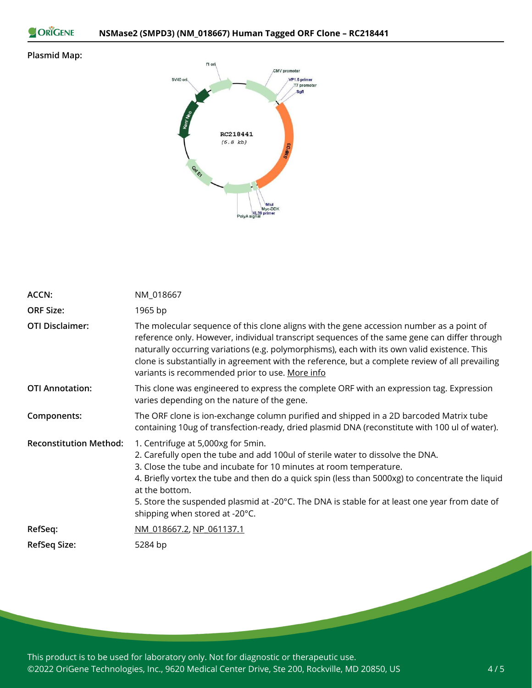ORIGENE

#### **Plasmid Map:**



| <b>ACCN:</b>                  | NM_018667                                                                                                                                                                                                                                                                                                                                                                                                                                           |
|-------------------------------|-----------------------------------------------------------------------------------------------------------------------------------------------------------------------------------------------------------------------------------------------------------------------------------------------------------------------------------------------------------------------------------------------------------------------------------------------------|
| <b>ORF Size:</b>              | 1965 bp                                                                                                                                                                                                                                                                                                                                                                                                                                             |
| <b>OTI Disclaimer:</b>        | The molecular sequence of this clone aligns with the gene accession number as a point of<br>reference only. However, individual transcript sequences of the same gene can differ through<br>naturally occurring variations (e.g. polymorphisms), each with its own valid existence. This<br>clone is substantially in agreement with the reference, but a complete review of all prevailing<br>variants is recommended prior to use. More info      |
| <b>OTI Annotation:</b>        | This clone was engineered to express the complete ORF with an expression tag. Expression<br>varies depending on the nature of the gene.                                                                                                                                                                                                                                                                                                             |
| Components:                   | The ORF clone is ion-exchange column purified and shipped in a 2D barcoded Matrix tube<br>containing 10ug of transfection-ready, dried plasmid DNA (reconstitute with 100 ul of water).                                                                                                                                                                                                                                                             |
| <b>Reconstitution Method:</b> | 1. Centrifuge at 5,000xg for 5min.<br>2. Carefully open the tube and add 100ul of sterile water to dissolve the DNA.<br>3. Close the tube and incubate for 10 minutes at room temperature.<br>4. Briefly vortex the tube and then do a quick spin (less than 5000xg) to concentrate the liquid<br>at the bottom.<br>5. Store the suspended plasmid at -20°C. The DNA is stable for at least one year from date of<br>shipping when stored at -20°C. |
| RefSeq:                       | NM 018667.2, NP 061137.1                                                                                                                                                                                                                                                                                                                                                                                                                            |
| <b>RefSeq Size:</b>           | 5284 bp                                                                                                                                                                                                                                                                                                                                                                                                                                             |

This product is to be used for laboratory only. Not for diagnostic or therapeutic use. ©2022 OriGene Technologies, Inc., 9620 Medical Center Drive, Ste 200, Rockville, MD 20850, US